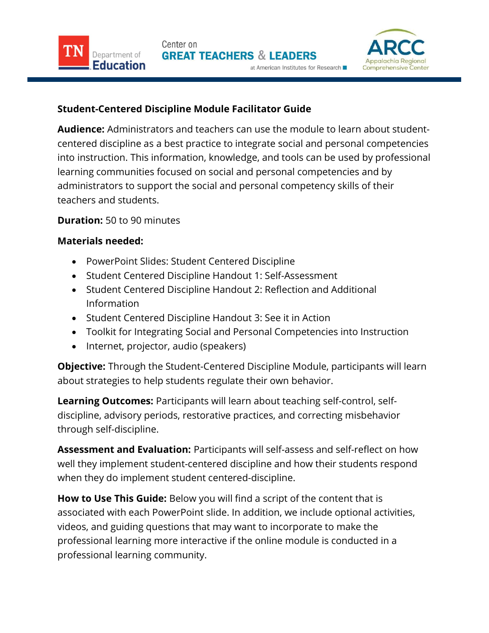

## Student-Centered Discipline Module Facilitator Guide

**Audience:** Administrators and teachers can use the module to learn about student- centered discipline as a best practice to integrate social and personal competencies into instruction. This information, knowledge, and tools can be used by professional learning communities focused on social and personal competencies and by administrators to support the social and personal competency skills of their teachers and students.

## **Duration:** 50 to 90 minutes

Department of

Education

## Materials needed:

- PowerPoint Slides: Student Centered Discipline
- Student Centered Discipline Handout 1: Self-Assessment
- Student Centered Discipline Handout 2: Reflection and Additional Information
- Student Centered Discipline Handout 3: See it in Action
- Toolkit for Integrating Social and Personal Competencies into Instruction
- Internet, projector, audio (speakers)

**Objective:** Through the Student-Centered Discipline Module, participants will learn about strategies to help students regulate their own behavior.

Learning Outcomes: Participants will learn about teaching self-control, self- discipline, advisory periods, restorative practices, and correcting misbehavior through self-discipline.

**Assessment and Evaluation:** Participants will self-assess and self-reflect on how well they implement student-centered discipline and how their students respond when they do implement student centered-discipline.

**How to Use This Guide:** Below you will find a script of the content that is associated with each PowerPoint slide. In addition, we include optional activities, videos, and guiding questions that may want to incorporate to make the professional learning more interactive if the online module is conducted in a professional learning community.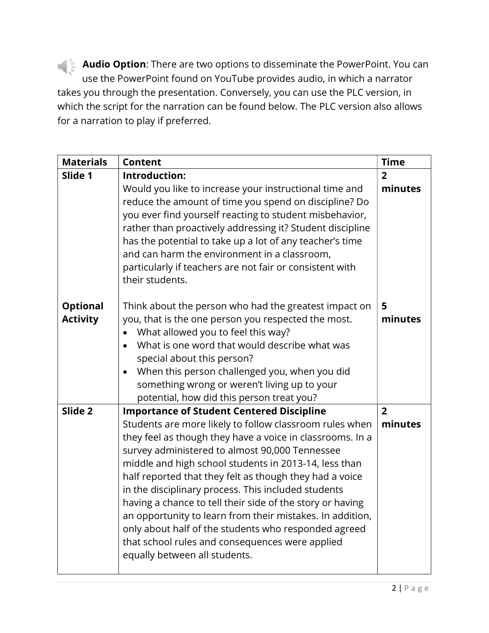**Audio Option**: There are two options to disseminate the PowerPoint. You can use the PowerPoint found on YouTube provides audio, in which a narrator takes you through the presentation. Conversely, you can use the PLC version, in which the script for the narration can be found below. The PLC version also allows for a narration to play if preferred.

| <b>Materials</b>                   | <b>Content</b>                                                                                                                                                                                                                                                                                                                                                                                                                                                                                                                                                                                                                                                              | <b>Time</b>               |
|------------------------------------|-----------------------------------------------------------------------------------------------------------------------------------------------------------------------------------------------------------------------------------------------------------------------------------------------------------------------------------------------------------------------------------------------------------------------------------------------------------------------------------------------------------------------------------------------------------------------------------------------------------------------------------------------------------------------------|---------------------------|
| Slide 1                            | Introduction:                                                                                                                                                                                                                                                                                                                                                                                                                                                                                                                                                                                                                                                               | $\overline{2}$            |
|                                    | Would you like to increase your instructional time and<br>reduce the amount of time you spend on discipline? Do<br>you ever find yourself reacting to student misbehavior,<br>rather than proactively addressing it? Student discipline<br>has the potential to take up a lot of any teacher's time<br>and can harm the environment in a classroom,<br>particularly if teachers are not fair or consistent with<br>their students.                                                                                                                                                                                                                                          | minutes                   |
| <b>Optional</b><br><b>Activity</b> | Think about the person who had the greatest impact on<br>you, that is the one person you respected the most.<br>What allowed you to feel this way?<br>What is one word that would describe what was<br>special about this person?<br>When this person challenged you, when you did<br>$\bullet$<br>something wrong or weren't living up to your<br>potential, how did this person treat you?                                                                                                                                                                                                                                                                                | 5<br>minutes              |
| Slide 2                            | <b>Importance of Student Centered Discipline</b><br>Students are more likely to follow classroom rules when<br>they feel as though they have a voice in classrooms. In a<br>survey administered to almost 90,000 Tennessee<br>middle and high school students in 2013-14, less than<br>half reported that they felt as though they had a voice<br>in the disciplinary process. This included students<br>having a chance to tell their side of the story or having<br>an opportunity to learn from their mistakes. In addition,<br>only about half of the students who responded agreed<br>that school rules and consequences were applied<br>equally between all students. | $\overline{2}$<br>minutes |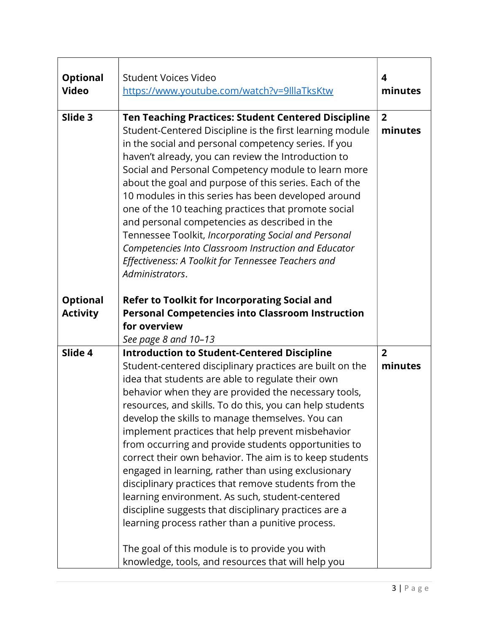| <b>Student Voices Video</b><br>https://www.youtube.com/watch?v=9lllaTksKtw                                                                                                                                                                                                                                                                                                                                                                                                                                                                                                                                                                                                                                                                                                                                                                           | 4<br>minutes                                       |
|------------------------------------------------------------------------------------------------------------------------------------------------------------------------------------------------------------------------------------------------------------------------------------------------------------------------------------------------------------------------------------------------------------------------------------------------------------------------------------------------------------------------------------------------------------------------------------------------------------------------------------------------------------------------------------------------------------------------------------------------------------------------------------------------------------------------------------------------------|----------------------------------------------------|
| <b>Ten Teaching Practices: Student Centered Discipline</b><br>Student-Centered Discipline is the first learning module<br>in the social and personal competency series. If you<br>haven't already, you can review the Introduction to<br>Social and Personal Competency module to learn more<br>about the goal and purpose of this series. Each of the<br>10 modules in this series has been developed around<br>one of the 10 teaching practices that promote social<br>and personal competencies as described in the<br>Tennessee Toolkit, Incorporating Social and Personal<br>Competencies Into Classroom Instruction and Educator<br>Effectiveness: A Toolkit for Tennessee Teachers and<br>Administrators.                                                                                                                                     | $\overline{2}$<br>minutes                          |
| Refer to Toolkit for Incorporating Social and<br><b>Personal Competencies into Classroom Instruction</b><br>for overview<br>See page 8 and 10-13                                                                                                                                                                                                                                                                                                                                                                                                                                                                                                                                                                                                                                                                                                     |                                                    |
| <b>Introduction to Student-Centered Discipline</b><br>Student-centered disciplinary practices are built on the<br>idea that students are able to regulate their own<br>behavior when they are provided the necessary tools,<br>resources, and skills. To do this, you can help students<br>develop the skills to manage themselves. You can<br>implement practices that help prevent misbehavior<br>from occurring and provide students opportunities to<br>correct their own behavior. The aim is to keep students<br>engaged in learning, rather than using exclusionary<br>disciplinary practices that remove students from the<br>learning environment. As such, student-centered<br>discipline suggests that disciplinary practices are a<br>learning process rather than a punitive process.<br>The goal of this module is to provide you with | $\overline{2}$<br>minutes                          |
|                                                                                                                                                                                                                                                                                                                                                                                                                                                                                                                                                                                                                                                                                                                                                                                                                                                      | knowledge, tools, and resources that will help you |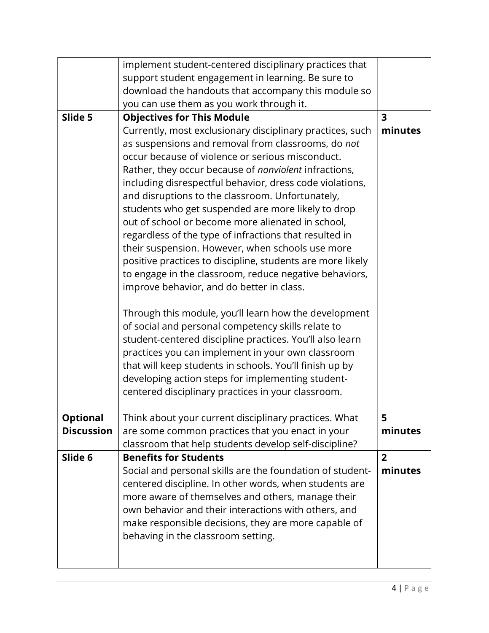|                   | implement student-centered disciplinary practices that                                                                                                                                                                                                                                                                                                                                                                                                                                                                                                                                                                                                                                                                                     |                         |
|-------------------|--------------------------------------------------------------------------------------------------------------------------------------------------------------------------------------------------------------------------------------------------------------------------------------------------------------------------------------------------------------------------------------------------------------------------------------------------------------------------------------------------------------------------------------------------------------------------------------------------------------------------------------------------------------------------------------------------------------------------------------------|-------------------------|
|                   | support student engagement in learning. Be sure to<br>download the handouts that accompany this module so                                                                                                                                                                                                                                                                                                                                                                                                                                                                                                                                                                                                                                  |                         |
|                   | you can use them as you work through it.                                                                                                                                                                                                                                                                                                                                                                                                                                                                                                                                                                                                                                                                                                   |                         |
| Slide 5           | <b>Objectives for This Module</b>                                                                                                                                                                                                                                                                                                                                                                                                                                                                                                                                                                                                                                                                                                          | $\overline{\mathbf{3}}$ |
|                   | Currently, most exclusionary disciplinary practices, such<br>as suspensions and removal from classrooms, do not<br>occur because of violence or serious misconduct.<br>Rather, they occur because of nonviolent infractions,<br>including disrespectful behavior, dress code violations,<br>and disruptions to the classroom. Unfortunately,<br>students who get suspended are more likely to drop<br>out of school or become more alienated in school,<br>regardless of the type of infractions that resulted in<br>their suspension. However, when schools use more<br>positive practices to discipline, students are more likely<br>to engage in the classroom, reduce negative behaviors,<br>improve behavior, and do better in class. | minutes                 |
|                   | Through this module, you'll learn how the development<br>of social and personal competency skills relate to<br>student-centered discipline practices. You'll also learn<br>practices you can implement in your own classroom<br>that will keep students in schools. You'll finish up by<br>developing action steps for implementing student-<br>centered disciplinary practices in your classroom.                                                                                                                                                                                                                                                                                                                                         |                         |
| <b>Optional</b>   | Think about your current disciplinary practices. What                                                                                                                                                                                                                                                                                                                                                                                                                                                                                                                                                                                                                                                                                      | 5                       |
| <b>Discussion</b> | are some common practices that you enact in your<br>classroom that help students develop self-discipline?                                                                                                                                                                                                                                                                                                                                                                                                                                                                                                                                                                                                                                  | minutes                 |
| Slide 6           | <b>Benefits for Students</b>                                                                                                                                                                                                                                                                                                                                                                                                                                                                                                                                                                                                                                                                                                               | $\overline{2}$          |
|                   | Social and personal skills are the foundation of student-<br>centered discipline. In other words, when students are<br>more aware of themselves and others, manage their<br>own behavior and their interactions with others, and<br>make responsible decisions, they are more capable of<br>behaving in the classroom setting.                                                                                                                                                                                                                                                                                                                                                                                                             | minutes                 |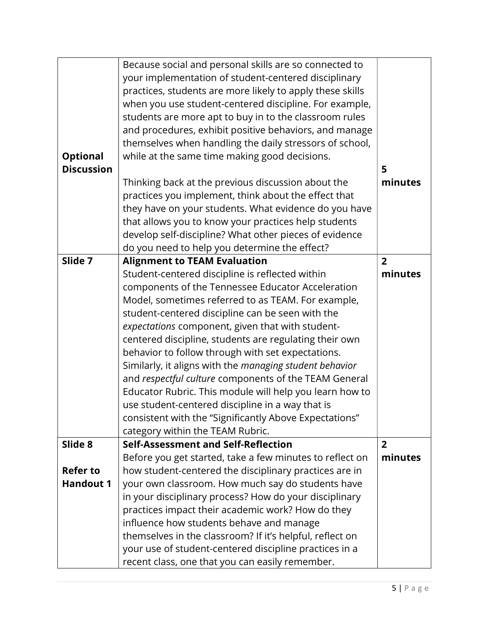|                   | themselves in the classroom? If it's helpful, reflect on<br>your use of student-centered discipline practices in a |                |
|-------------------|--------------------------------------------------------------------------------------------------------------------|----------------|
|                   | influence how students behave and manage                                                                           |                |
|                   | practices impact their academic work? How do they                                                                  |                |
|                   | in your disciplinary process? How do your disciplinary                                                             |                |
| <b>Handout 1</b>  | your own classroom. How much say do students have                                                                  |                |
| <b>Refer to</b>   | how student-centered the disciplinary practices are in                                                             |                |
|                   | Before you get started, take a few minutes to reflect on                                                           | minutes        |
| Slide 8           | Self-Assessment and Self-Reflection                                                                                | $\overline{2}$ |
|                   | category within the TEAM Rubric.                                                                                   |                |
|                   | consistent with the "Significantly Above Expectations"                                                             |                |
|                   | use student-centered discipline in a way that is                                                                   |                |
|                   | Educator Rubric. This module will help you learn how to                                                            |                |
|                   | and respectful culture components of the TEAM General                                                              |                |
|                   | Similarly, it aligns with the managing student behavior                                                            |                |
|                   | behavior to follow through with set expectations.                                                                  |                |
|                   | centered discipline, students are regulating their own                                                             |                |
|                   | expectations component, given that with student-                                                                   |                |
|                   | student-centered discipline can be seen with the                                                                   |                |
|                   | Model, sometimes referred to as TEAM. For example,                                                                 |                |
|                   | components of the Tennessee Educator Acceleration                                                                  |                |
|                   | Student-centered discipline is reflected within                                                                    | minutes        |
| Slide 7           | <b>Alignment to TEAM Evaluation</b>                                                                                | $\overline{2}$ |
|                   | do you need to help you determine the effect?                                                                      |                |
|                   | develop self-discipline? What other pieces of evidence                                                             |                |
|                   | that allows you to know your practices help students                                                               |                |
|                   | they have on your students. What evidence do you have                                                              |                |
|                   | practices you implement, think about the effect that                                                               |                |
|                   | Thinking back at the previous discussion about the                                                                 | minutes        |
| <b>Discussion</b> |                                                                                                                    | 5              |
| <b>Optional</b>   | while at the same time making good decisions.                                                                      |                |
|                   | themselves when handling the daily stressors of school,                                                            |                |
|                   | and procedures, exhibit positive behaviors, and manage                                                             |                |
|                   | students are more apt to buy in to the classroom rules                                                             |                |
|                   | when you use student-centered discipline. For example,                                                             |                |
|                   | practices, students are more likely to apply these skills                                                          |                |
|                   | your implementation of student-centered disciplinary                                                               |                |
|                   | Because social and personal skills are so connected to                                                             |                |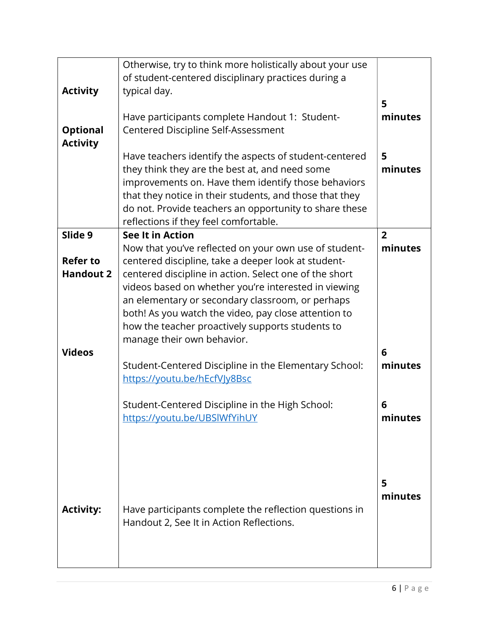| <b>Activity</b><br><b>Optional</b><br><b>Activity</b>           | Otherwise, try to think more holistically about your use<br>of student-centered disciplinary practices during a<br>typical day.<br>Have participants complete Handout 1: Student-<br>Centered Discipline Self-Assessment<br>Have teachers identify the aspects of student-centered<br>they think they are the best at, and need some<br>improvements on. Have them identify those behaviors<br>that they notice in their students, and those that they<br>do not. Provide teachers an opportunity to share these                                                                                                                                                             | 5<br>minutes<br>5<br>minutes                              |
|-----------------------------------------------------------------|------------------------------------------------------------------------------------------------------------------------------------------------------------------------------------------------------------------------------------------------------------------------------------------------------------------------------------------------------------------------------------------------------------------------------------------------------------------------------------------------------------------------------------------------------------------------------------------------------------------------------------------------------------------------------|-----------------------------------------------------------|
| Slide 9<br><b>Refer to</b><br><b>Handout 2</b><br><b>Videos</b> | reflections if they feel comfortable.<br><b>See It in Action</b><br>Now that you've reflected on your own use of student-<br>centered discipline, take a deeper look at student-<br>centered discipline in action. Select one of the short<br>videos based on whether you're interested in viewing<br>an elementary or secondary classroom, or perhaps<br>both! As you watch the video, pay close attention to<br>how the teacher proactively supports students to<br>manage their own behavior.<br>Student-Centered Discipline in the Elementary School:<br>https://youtu.be/hEcfVJy8Bsc<br>Student-Centered Discipline in the High School:<br>https://youtu.be/UBSlWfYihUY | $\overline{2}$<br>minutes<br>6<br>minutes<br>6<br>minutes |
| <b>Activity:</b>                                                | Have participants complete the reflection questions in<br>Handout 2, See It in Action Reflections.                                                                                                                                                                                                                                                                                                                                                                                                                                                                                                                                                                           | 5<br>minutes                                              |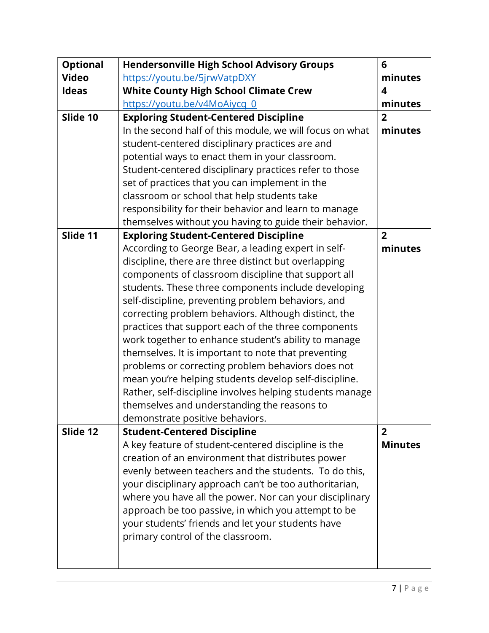| <b>Optional</b> | <b>Hendersonville High School Advisory Groups</b>        | 6              |
|-----------------|----------------------------------------------------------|----------------|
| <b>Video</b>    | https://youtu.be/5jrwVatpDXY                             | minutes        |
| <b>Ideas</b>    | <b>White County High School Climate Crew</b>             | 4              |
|                 | https://youtu.be/v4MoAiycq 0                             | minutes        |
| Slide 10        | <b>Exploring Student-Centered Discipline</b>             | $\overline{2}$ |
|                 | In the second half of this module, we will focus on what | minutes        |
|                 | student-centered disciplinary practices are and          |                |
|                 | potential ways to enact them in your classroom.          |                |
|                 | Student-centered disciplinary practices refer to those   |                |
|                 | set of practices that you can implement in the           |                |
|                 | classroom or school that help students take              |                |
|                 | responsibility for their behavior and learn to manage    |                |
|                 | themselves without you having to guide their behavior.   |                |
| Slide 11        | <b>Exploring Student-Centered Discipline</b>             | $\overline{2}$ |
|                 | According to George Bear, a leading expert in self-      | minutes        |
|                 | discipline, there are three distinct but overlapping     |                |
|                 | components of classroom discipline that support all      |                |
|                 | students. These three components include developing      |                |
|                 | self-discipline, preventing problem behaviors, and       |                |
|                 | correcting problem behaviors. Although distinct, the     |                |
|                 | practices that support each of the three components      |                |
|                 | work together to enhance student's ability to manage     |                |
|                 | themselves. It is important to note that preventing      |                |
|                 | problems or correcting problem behaviors does not        |                |
|                 | mean you're helping students develop self-discipline.    |                |
|                 | Rather, self-discipline involves helping students manage |                |
|                 | themselves and understanding the reasons to              |                |
|                 | demonstrate positive behaviors.                          |                |
| Slide 12        | <b>Student-Centered Discipline</b>                       | $\overline{2}$ |
|                 | A key feature of student-centered discipline is the      | <b>Minutes</b> |
|                 | creation of an environment that distributes power        |                |
|                 | evenly between teachers and the students. To do this,    |                |
|                 | your disciplinary approach can't be too authoritarian,   |                |
|                 | where you have all the power. Nor can your disciplinary  |                |
|                 | approach be too passive, in which you attempt to be      |                |
|                 | your students' friends and let your students have        |                |
|                 | primary control of the classroom.                        |                |
|                 |                                                          |                |
|                 |                                                          |                |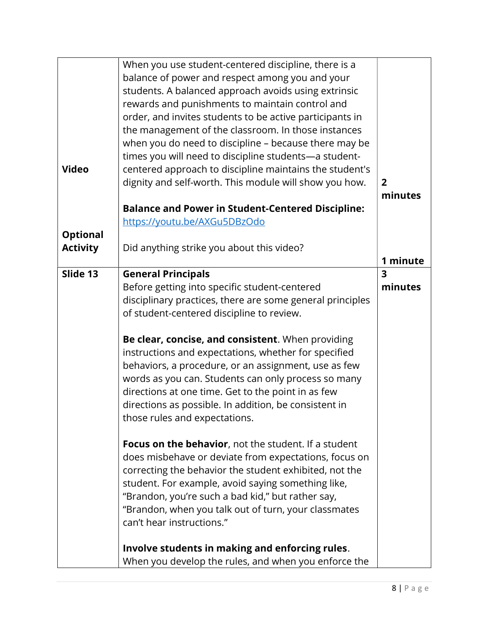|                 | When you use student-centered discipline, there is a        |                |
|-----------------|-------------------------------------------------------------|----------------|
|                 | balance of power and respect among you and your             |                |
|                 | students. A balanced approach avoids using extrinsic        |                |
|                 | rewards and punishments to maintain control and             |                |
|                 |                                                             |                |
|                 | order, and invites students to be active participants in    |                |
|                 | the management of the classroom. In those instances         |                |
|                 | when you do need to discipline - because there may be       |                |
|                 | times you will need to discipline students-a student-       |                |
| <b>Video</b>    | centered approach to discipline maintains the student's     |                |
|                 | dignity and self-worth. This module will show you how.      | $\overline{2}$ |
|                 |                                                             | minutes        |
|                 |                                                             |                |
|                 | <b>Balance and Power in Student-Centered Discipline:</b>    |                |
|                 | https://youtu.be/AXGu5DBzOdo                                |                |
| <b>Optional</b> |                                                             |                |
| <b>Activity</b> | Did anything strike you about this video?                   |                |
|                 |                                                             | 1 minute       |
| Slide 13        | <b>General Principals</b>                                   | 3              |
|                 | Before getting into specific student-centered               | minutes        |
|                 | disciplinary practices, there are some general principles   |                |
|                 |                                                             |                |
|                 | of student-centered discipline to review.                   |                |
|                 | Be clear, concise, and consistent. When providing           |                |
|                 | instructions and expectations, whether for specified        |                |
|                 |                                                             |                |
|                 | behaviors, a procedure, or an assignment, use as few        |                |
|                 | words as you can. Students can only process so many         |                |
|                 | directions at one time. Get to the point in as few          |                |
|                 | directions as possible. In addition, be consistent in       |                |
|                 | those rules and expectations.                               |                |
|                 |                                                             |                |
|                 | <b>Focus on the behavior, not the student. If a student</b> |                |
|                 | does misbehave or deviate from expectations, focus on       |                |
|                 | correcting the behavior the student exhibited, not the      |                |
|                 | student. For example, avoid saying something like,          |                |
|                 | "Brandon, you're such a bad kid," but rather say,           |                |
|                 |                                                             |                |
|                 | "Brandon, when you talk out of turn, your classmates        |                |
|                 | can't hear instructions."                                   |                |
|                 |                                                             |                |
|                 | Involve students in making and enforcing rules.             |                |
|                 | When you develop the rules, and when you enforce the        |                |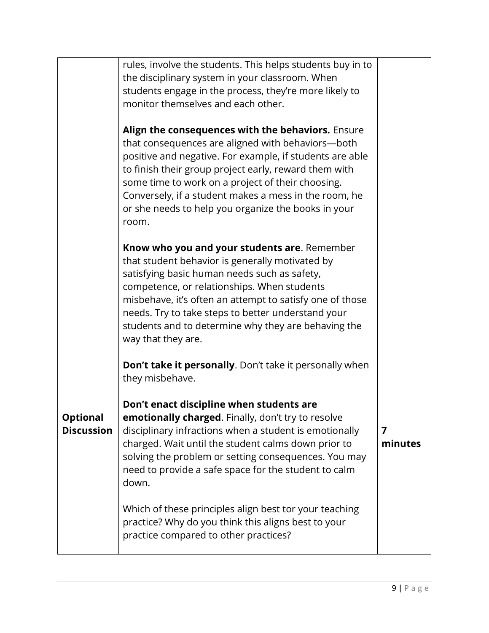|                                      | rules, involve the students. This helps students buy in to<br>the disciplinary system in your classroom. When<br>students engage in the process, they're more likely to<br>monitor themselves and each other.<br>Align the consequences with the behaviors. Ensure<br>that consequences are aligned with behaviors-both<br>positive and negative. For example, if students are able<br>to finish their group project early, reward them with<br>some time to work on a project of their choosing.<br>Conversely, if a student makes a mess in the room, he<br>or she needs to help you organize the books in your<br>room. |              |
|--------------------------------------|----------------------------------------------------------------------------------------------------------------------------------------------------------------------------------------------------------------------------------------------------------------------------------------------------------------------------------------------------------------------------------------------------------------------------------------------------------------------------------------------------------------------------------------------------------------------------------------------------------------------------|--------------|
|                                      | Know who you and your students are. Remember<br>that student behavior is generally motivated by<br>satisfying basic human needs such as safety,<br>competence, or relationships. When students<br>misbehave, it's often an attempt to satisfy one of those<br>needs. Try to take steps to better understand your<br>students and to determine why they are behaving the<br>way that they are.                                                                                                                                                                                                                              |              |
| <b>Optional</b><br><b>Discussion</b> | <b>Don't take it personally.</b> Don't take it personally when<br>they misbehave.<br>Don't enact discipline when students are<br>emotionally charged. Finally, don't try to resolve<br>disciplinary infractions when a student is emotionally<br>charged. Wait until the student calms down prior to<br>solving the problem or setting consequences. You may                                                                                                                                                                                                                                                               | 7<br>minutes |
|                                      | need to provide a safe space for the student to calm<br>down.<br>Which of these principles align best tor your teaching<br>practice? Why do you think this aligns best to your<br>practice compared to other practices?                                                                                                                                                                                                                                                                                                                                                                                                    |              |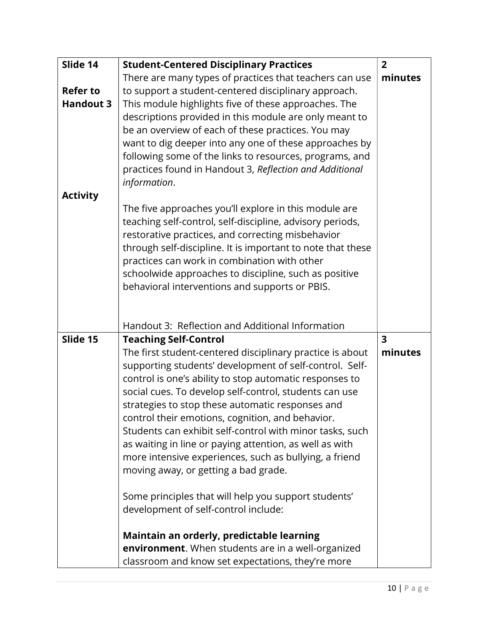| Slide 14         | <b>Student-Centered Disciplinary Practices</b>                                                                    | $\overline{2}$          |
|------------------|-------------------------------------------------------------------------------------------------------------------|-------------------------|
|                  | There are many types of practices that teachers can use                                                           | minutes                 |
| <b>Refer to</b>  | to support a student-centered disciplinary approach.                                                              |                         |
| <b>Handout 3</b> | This module highlights five of these approaches. The                                                              |                         |
|                  | descriptions provided in this module are only meant to                                                            |                         |
|                  | be an overview of each of these practices. You may                                                                |                         |
|                  | want to dig deeper into any one of these approaches by                                                            |                         |
|                  | following some of the links to resources, programs, and                                                           |                         |
|                  | practices found in Handout 3, Reflection and Additional<br>information.                                           |                         |
| <b>Activity</b>  |                                                                                                                   |                         |
|                  | The five approaches you'll explore in this module are                                                             |                         |
|                  | teaching self-control, self-discipline, advisory periods,                                                         |                         |
|                  | restorative practices, and correcting misbehavior                                                                 |                         |
|                  | through self-discipline. It is important to note that these                                                       |                         |
|                  | practices can work in combination with other                                                                      |                         |
|                  | schoolwide approaches to discipline, such as positive                                                             |                         |
|                  | behavioral interventions and supports or PBIS.                                                                    |                         |
|                  |                                                                                                                   |                         |
|                  |                                                                                                                   |                         |
|                  | Handout 3: Reflection and Additional Information                                                                  |                         |
| Slide 15         | <b>Teaching Self-Control</b>                                                                                      | $\overline{\mathbf{3}}$ |
|                  | The first student-centered disciplinary practice is about                                                         | minutes                 |
|                  | supporting students' development of self-control. Self-                                                           |                         |
|                  | control is one's ability to stop automatic responses to                                                           |                         |
|                  | social cues. To develop self-control, students can use                                                            |                         |
|                  | strategies to stop these automatic responses and                                                                  |                         |
|                  | control their emotions, cognition, and behavior.                                                                  |                         |
|                  | Students can exhibit self-control with minor tasks, such                                                          |                         |
|                  | as waiting in line or paying attention, as well as with<br>more intensive experiences, such as bullying, a friend |                         |
|                  | moving away, or getting a bad grade.                                                                              |                         |
|                  |                                                                                                                   |                         |
|                  | Some principles that will help you support students'                                                              |                         |
|                  | development of self-control include:                                                                              |                         |
|                  |                                                                                                                   |                         |
|                  | Maintain an orderly, predictable learning                                                                         |                         |
|                  | environment. When students are in a well-organized                                                                |                         |
|                  | classroom and know set expectations, they're more                                                                 |                         |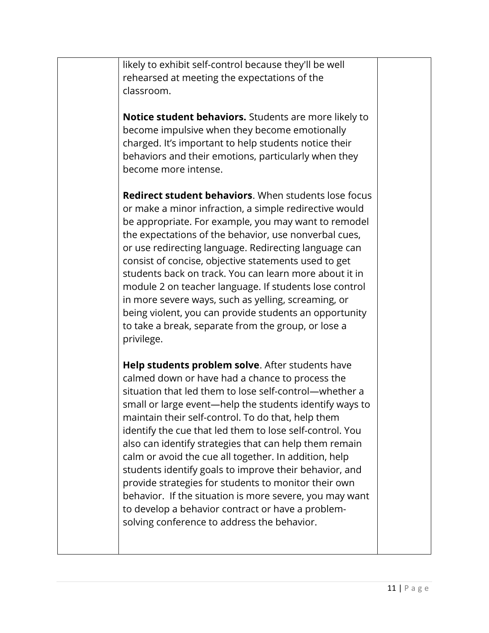likely to exhibit self-control because they'll be well rehearsed at meeting the expectations of the classroom.

Notice student behaviors. Students are more likely to become impulsive when they become emotionally charged. It's important to help students notice their behaviors and their emotions, particularly when they become more intense.

**Redirect student behaviors**. When students lose focus or make a minor infraction, a simple redirective would be appropriate. For example, you may want to remodel the expectations of the behavior, use nonverbal cues, or use redirecting language. Redirecting language can consist of concise, objective statements used to get students back on track. You can learn more about it in module 2 on teacher language. If students lose control in more severe ways, such as yelling, screaming, or being violent, you can provide students an opportunity to take a break, separate from the group, or lose a privilege.

Help students problem solve. After students have calmed down or have had a chance to process the situation that led them to lose self-control—whether a small or large event—help the students identify ways to maintain their self-control. To do that, help them identify the cue that led them to lose self-control. You also can identify strategies that can help them remain calm or avoid the cue all together. In addition, help students identify goals to improve their behavior, and provide strategies for students to monitor their own behavior. If the situation is more severe, you may want to develop a behavior contract or have a problem-solving conference to address the behavior.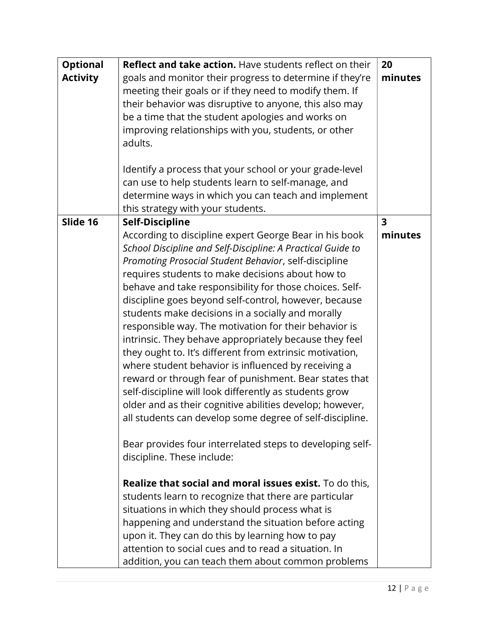| <b>Optional</b><br><b>Activity</b> | <b>Reflect and take action.</b> Have students reflect on their<br>goals and monitor their progress to determine if they're<br>meeting their goals or if they need to modify them. If<br>their behavior was disruptive to anyone, this also may<br>be a time that the student apologies and works on<br>improving relationships with you, students, or other<br>adults.<br>Identify a process that your school or your grade-level<br>can use to help students learn to self-manage, and<br>determine ways in which you can teach and implement<br>this strategy with your students.                                                                                                                                                                                                                                                                                                                                                                                                                                                                                                                                                                                                                                                                                                                                                                                                                                        | 20<br>minutes                      |
|------------------------------------|----------------------------------------------------------------------------------------------------------------------------------------------------------------------------------------------------------------------------------------------------------------------------------------------------------------------------------------------------------------------------------------------------------------------------------------------------------------------------------------------------------------------------------------------------------------------------------------------------------------------------------------------------------------------------------------------------------------------------------------------------------------------------------------------------------------------------------------------------------------------------------------------------------------------------------------------------------------------------------------------------------------------------------------------------------------------------------------------------------------------------------------------------------------------------------------------------------------------------------------------------------------------------------------------------------------------------------------------------------------------------------------------------------------------------|------------------------------------|
| Slide 16                           | <b>Self-Discipline</b><br>According to discipline expert George Bear in his book<br>School Discipline and Self-Discipline: A Practical Guide to<br>Promoting Prosocial Student Behavior, self-discipline<br>requires students to make decisions about how to<br>behave and take responsibility for those choices. Self-<br>discipline goes beyond self-control, however, because<br>students make decisions in a socially and morally<br>responsible way. The motivation for their behavior is<br>intrinsic. They behave appropriately because they feel<br>they ought to. It's different from extrinsic motivation,<br>where student behavior is influenced by receiving a<br>reward or through fear of punishment. Bear states that<br>self-discipline will look differently as students grow<br>older and as their cognitive abilities develop; however,<br>all students can develop some degree of self-discipline.<br>Bear provides four interrelated steps to developing self-<br>discipline. These include:<br><b>Realize that social and moral issues exist.</b> To do this,<br>students learn to recognize that there are particular<br>situations in which they should process what is<br>happening and understand the situation before acting<br>upon it. They can do this by learning how to pay<br>attention to social cues and to read a situation. In<br>addition, you can teach them about common problems | $\overline{\mathbf{3}}$<br>minutes |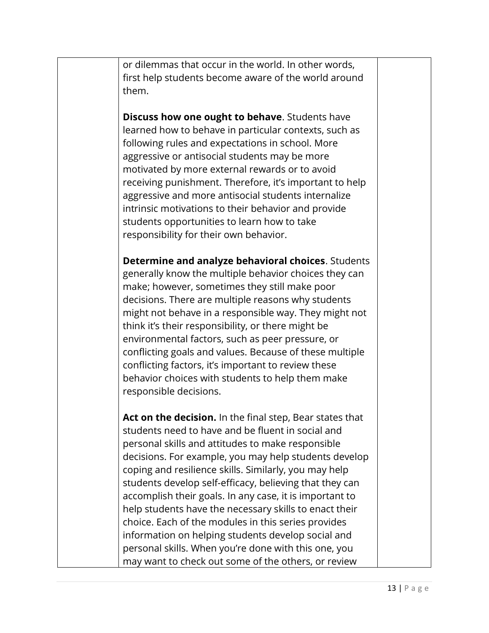or dilemmas that occur in the world. In other words, first help students become aware of the world around them.

**Discuss how one ought to behave**. Students have learned how to behave in particular contexts, such as following rules and expectations in school. More aggressive or antisocial students may be more motivated by more external rewards or to avoid receiving punishment. Therefore, it's important to help aggressive and more antisocial students internalize intrinsic motivations to their behavior and provide students opportunities to learn how to take responsibility for their own behavior.

 Determine and analyze behavioral choices. Students generally know the multiple behavior choices they can make; however, sometimes they still make poor decisions. There are multiple reasons why students might not behave in a responsible way. They might not think it's their responsibility, or there might be environmental factors, such as peer pressure, or conflicting goals and values. Because of these multiple conflicting factors, it's important to review these behavior choices with students to help them make responsible decisions.

**Act on the decision.** In the final step, Bear states that students need to have and be fluent in social and personal skills and attitudes to make responsible decisions. For example, you may help students develop coping and resilience skills. Similarly, you may help students develop self-efficacy, believing that they can accomplish their goals. In any case, it is important to help students have the necessary skills to enact their choice. Each of the modules in this series provides information on helping students develop social and personal skills. When you're done with this one, you may want to check out some of the others, or review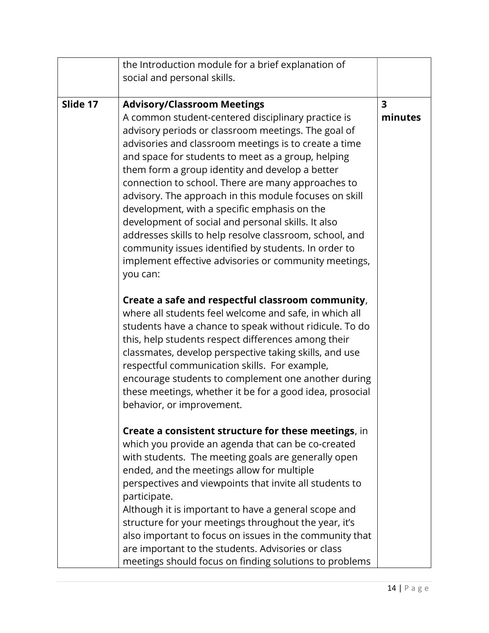|          | the Introduction module for a brief explanation of                                                                                                                                                                                                                                                                                                                                                                                                                                                                                                                                                                                                                                                                              |                                    |
|----------|---------------------------------------------------------------------------------------------------------------------------------------------------------------------------------------------------------------------------------------------------------------------------------------------------------------------------------------------------------------------------------------------------------------------------------------------------------------------------------------------------------------------------------------------------------------------------------------------------------------------------------------------------------------------------------------------------------------------------------|------------------------------------|
|          | social and personal skills.                                                                                                                                                                                                                                                                                                                                                                                                                                                                                                                                                                                                                                                                                                     |                                    |
|          |                                                                                                                                                                                                                                                                                                                                                                                                                                                                                                                                                                                                                                                                                                                                 |                                    |
| Slide 17 | <b>Advisory/Classroom Meetings</b><br>A common student-centered disciplinary practice is<br>advisory periods or classroom meetings. The goal of<br>advisories and classroom meetings is to create a time<br>and space for students to meet as a group, helping<br>them form a group identity and develop a better<br>connection to school. There are many approaches to<br>advisory. The approach in this module focuses on skill<br>development, with a specific emphasis on the<br>development of social and personal skills. It also<br>addresses skills to help resolve classroom, school, and<br>community issues identified by students. In order to<br>implement effective advisories or community meetings,<br>you can: | $\overline{\mathbf{3}}$<br>minutes |
|          | Create a safe and respectful classroom community,<br>where all students feel welcome and safe, in which all<br>students have a chance to speak without ridicule. To do<br>this, help students respect differences among their<br>classmates, develop perspective taking skills, and use<br>respectful communication skills. For example,<br>encourage students to complement one another during<br>these meetings, whether it be for a good idea, prosocial<br>behavior, or improvement.                                                                                                                                                                                                                                        |                                    |
|          | Create a consistent structure for these meetings, in<br>which you provide an agenda that can be co-created<br>with students. The meeting goals are generally open<br>ended, and the meetings allow for multiple<br>perspectives and viewpoints that invite all students to<br>participate.<br>Although it is important to have a general scope and<br>structure for your meetings throughout the year, it's<br>also important to focus on issues in the community that<br>are important to the students. Advisories or class<br>meetings should focus on finding solutions to problems                                                                                                                                          |                                    |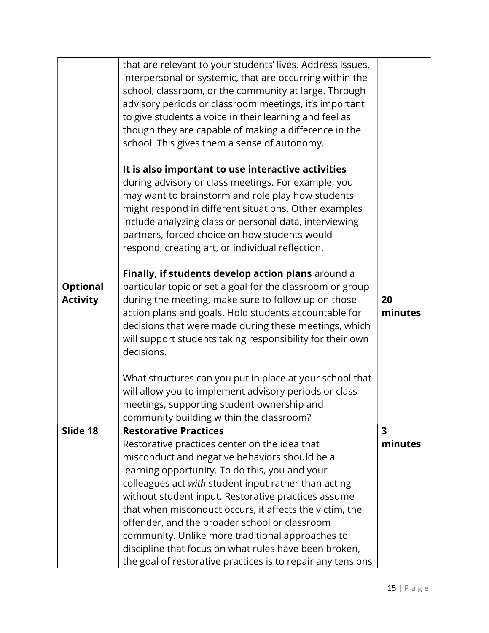| <b>Optional</b><br><b>Activity</b> | that are relevant to your students' lives. Address issues,<br>interpersonal or systemic, that are occurring within the<br>school, classroom, or the community at large. Through<br>advisory periods or classroom meetings, it's important<br>to give students a voice in their learning and feel as<br>though they are capable of making a difference in the<br>school. This gives them a sense of autonomy.<br>It is also important to use interactive activities<br>during advisory or class meetings. For example, you<br>may want to brainstorm and role play how students<br>might respond in different situations. Other examples<br>include analyzing class or personal data, interviewing<br>partners, forced choice on how students would<br>respond, creating art, or individual reflection.<br>Finally, if students develop action plans around a<br>particular topic or set a goal for the classroom or group<br>during the meeting, make sure to follow up on those<br>action plans and goals. Hold students accountable for<br>decisions that were made during these meetings, which<br>will support students taking responsibility for their own<br>decisions. | 20<br>minutes |
|------------------------------------|-------------------------------------------------------------------------------------------------------------------------------------------------------------------------------------------------------------------------------------------------------------------------------------------------------------------------------------------------------------------------------------------------------------------------------------------------------------------------------------------------------------------------------------------------------------------------------------------------------------------------------------------------------------------------------------------------------------------------------------------------------------------------------------------------------------------------------------------------------------------------------------------------------------------------------------------------------------------------------------------------------------------------------------------------------------------------------------------------------------------------------------------------------------------------------|---------------|
|                                    | What structures can you put in place at your school that<br>will allow you to implement advisory periods or class<br>meetings, supporting student ownership and<br>community building within the classroom?                                                                                                                                                                                                                                                                                                                                                                                                                                                                                                                                                                                                                                                                                                                                                                                                                                                                                                                                                                   |               |
| Slide 18                           | <b>Restorative Practices</b><br>Restorative practices center on the idea that                                                                                                                                                                                                                                                                                                                                                                                                                                                                                                                                                                                                                                                                                                                                                                                                                                                                                                                                                                                                                                                                                                 | 3<br>minutes  |
|                                    | misconduct and negative behaviors should be a                                                                                                                                                                                                                                                                                                                                                                                                                                                                                                                                                                                                                                                                                                                                                                                                                                                                                                                                                                                                                                                                                                                                 |               |
|                                    | learning opportunity. To do this, you and your                                                                                                                                                                                                                                                                                                                                                                                                                                                                                                                                                                                                                                                                                                                                                                                                                                                                                                                                                                                                                                                                                                                                |               |
|                                    | colleagues act with student input rather than acting                                                                                                                                                                                                                                                                                                                                                                                                                                                                                                                                                                                                                                                                                                                                                                                                                                                                                                                                                                                                                                                                                                                          |               |
|                                    | without student input. Restorative practices assume                                                                                                                                                                                                                                                                                                                                                                                                                                                                                                                                                                                                                                                                                                                                                                                                                                                                                                                                                                                                                                                                                                                           |               |
|                                    | that when misconduct occurs, it affects the victim, the                                                                                                                                                                                                                                                                                                                                                                                                                                                                                                                                                                                                                                                                                                                                                                                                                                                                                                                                                                                                                                                                                                                       |               |
|                                    | offender, and the broader school or classroom                                                                                                                                                                                                                                                                                                                                                                                                                                                                                                                                                                                                                                                                                                                                                                                                                                                                                                                                                                                                                                                                                                                                 |               |
|                                    | community. Unlike more traditional approaches to<br>discipline that focus on what rules have been broken,                                                                                                                                                                                                                                                                                                                                                                                                                                                                                                                                                                                                                                                                                                                                                                                                                                                                                                                                                                                                                                                                     |               |
|                                    | the goal of restorative practices is to repair any tensions                                                                                                                                                                                                                                                                                                                                                                                                                                                                                                                                                                                                                                                                                                                                                                                                                                                                                                                                                                                                                                                                                                                   |               |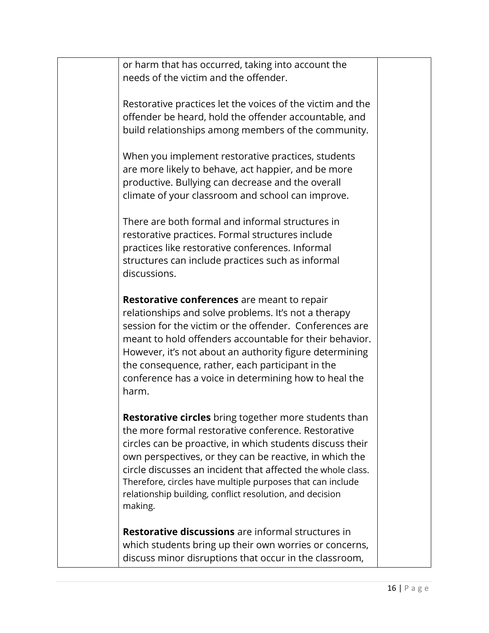or harm that has occurred, taking into account the needs of the victim and the offender.

 Restorative practices let the voices of the victim and the offender be heard, hold the offender accountable, and build relationships among members of the community.

 When you implement restorative practices, students are more likely to behave, act happier, and be more productive. Bullying can decrease and the overall climate of your classroom and school can improve.

 There are both formal and informal structures in restorative practices. Formal structures include practices like restorative conferences. Informal structures can include practices such as informal discussions.

**Restorative conferences** are meant to repair relationships and solve problems. It's not a therapy session for the victim or the offender. Conferences are meant to hold offenders accountable for their behavior. However, it's not about an authority figure determining the consequence, rather, each participant in the conference has a voice in determining how to heal the harm.

**Restorative circles** bring together more students than the more formal restorative conference. Restorative circles can be proactive, in which students discuss their own perspectives, or they can be reactive, in which the circle discusses an incident that affected the whole class. Therefore, circles have multiple purposes that can include relationship building, conflict resolution, and decision making.

Restorative discussions are informal structures in which students bring up their own worries or concerns, discuss minor disruptions that occur in the classroom,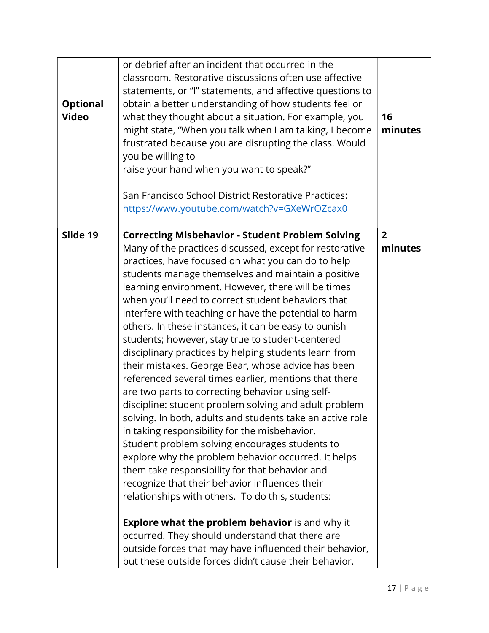| <b>Optional</b><br><b>Video</b> | or debrief after an incident that occurred in the<br>classroom. Restorative discussions often use affective<br>statements, or "I" statements, and affective questions to<br>obtain a better understanding of how students feel or<br>what they thought about a situation. For example, you<br>might state, "When you talk when I am talking, I become<br>frustrated because you are disrupting the class. Would<br>you be willing to<br>raise your hand when you want to speak?"<br>San Francisco School District Restorative Practices:<br>https://www.youtube.com/watch?v=GXeWrOZcax0 | 16<br>minutes  |
|---------------------------------|-----------------------------------------------------------------------------------------------------------------------------------------------------------------------------------------------------------------------------------------------------------------------------------------------------------------------------------------------------------------------------------------------------------------------------------------------------------------------------------------------------------------------------------------------------------------------------------------|----------------|
| Slide 19                        | <b>Correcting Misbehavior - Student Problem Solving</b>                                                                                                                                                                                                                                                                                                                                                                                                                                                                                                                                 | $\overline{2}$ |
|                                 | Many of the practices discussed, except for restorative<br>practices, have focused on what you can do to help                                                                                                                                                                                                                                                                                                                                                                                                                                                                           | minutes        |
|                                 | students manage themselves and maintain a positive                                                                                                                                                                                                                                                                                                                                                                                                                                                                                                                                      |                |
|                                 | learning environment. However, there will be times                                                                                                                                                                                                                                                                                                                                                                                                                                                                                                                                      |                |
|                                 | when you'll need to correct student behaviors that                                                                                                                                                                                                                                                                                                                                                                                                                                                                                                                                      |                |
|                                 | interfere with teaching or have the potential to harm<br>others. In these instances, it can be easy to punish                                                                                                                                                                                                                                                                                                                                                                                                                                                                           |                |
|                                 | students; however, stay true to student-centered                                                                                                                                                                                                                                                                                                                                                                                                                                                                                                                                        |                |
|                                 | disciplinary practices by helping students learn from                                                                                                                                                                                                                                                                                                                                                                                                                                                                                                                                   |                |
|                                 | their mistakes. George Bear, whose advice has been                                                                                                                                                                                                                                                                                                                                                                                                                                                                                                                                      |                |
|                                 | referenced several times earlier, mentions that there<br>are two parts to correcting behavior using self-                                                                                                                                                                                                                                                                                                                                                                                                                                                                               |                |
|                                 | discipline: student problem solving and adult problem                                                                                                                                                                                                                                                                                                                                                                                                                                                                                                                                   |                |
|                                 | solving. In both, adults and students take an active role                                                                                                                                                                                                                                                                                                                                                                                                                                                                                                                               |                |
|                                 | in taking responsibility for the misbehavior.                                                                                                                                                                                                                                                                                                                                                                                                                                                                                                                                           |                |
|                                 | Student problem solving encourages students to<br>explore why the problem behavior occurred. It helps                                                                                                                                                                                                                                                                                                                                                                                                                                                                                   |                |
|                                 | them take responsibility for that behavior and                                                                                                                                                                                                                                                                                                                                                                                                                                                                                                                                          |                |
|                                 | recognize that their behavior influences their                                                                                                                                                                                                                                                                                                                                                                                                                                                                                                                                          |                |
|                                 | relationships with others. To do this, students:                                                                                                                                                                                                                                                                                                                                                                                                                                                                                                                                        |                |
|                                 | <b>Explore what the problem behavior</b> is and why it                                                                                                                                                                                                                                                                                                                                                                                                                                                                                                                                  |                |
|                                 | occurred. They should understand that there are                                                                                                                                                                                                                                                                                                                                                                                                                                                                                                                                         |                |
|                                 | outside forces that may have influenced their behavior,                                                                                                                                                                                                                                                                                                                                                                                                                                                                                                                                 |                |
|                                 | but these outside forces didn't cause their behavior.                                                                                                                                                                                                                                                                                                                                                                                                                                                                                                                                   |                |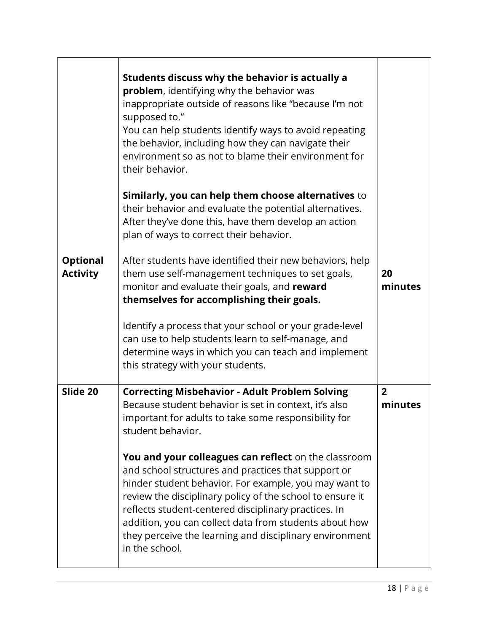|                                    | Students discuss why the behavior is actually a<br>problem, identifying why the behavior was<br>inappropriate outside of reasons like "because I'm not<br>supposed to."<br>You can help students identify ways to avoid repeating<br>the behavior, including how they can navigate their<br>environment so as not to blame their environment for<br>their behavior.                                                              |                           |
|------------------------------------|----------------------------------------------------------------------------------------------------------------------------------------------------------------------------------------------------------------------------------------------------------------------------------------------------------------------------------------------------------------------------------------------------------------------------------|---------------------------|
|                                    | Similarly, you can help them choose alternatives to<br>their behavior and evaluate the potential alternatives.<br>After they've done this, have them develop an action<br>plan of ways to correct their behavior.                                                                                                                                                                                                                |                           |
| <b>Optional</b><br><b>Activity</b> | After students have identified their new behaviors, help<br>them use self-management techniques to set goals,<br>monitor and evaluate their goals, and reward<br>themselves for accomplishing their goals.                                                                                                                                                                                                                       | 20<br>minutes             |
|                                    | Identify a process that your school or your grade-level<br>can use to help students learn to self-manage, and<br>determine ways in which you can teach and implement<br>this strategy with your students.                                                                                                                                                                                                                        |                           |
| Slide 20                           | <b>Correcting Misbehavior - Adult Problem Solving</b><br>Because student behavior is set in context, it's also<br>important for adults to take some responsibility for<br>student behavior.                                                                                                                                                                                                                                      | $\overline{2}$<br>minutes |
|                                    | You and your colleagues can reflect on the classroom<br>and school structures and practices that support or<br>hinder student behavior. For example, you may want to<br>review the disciplinary policy of the school to ensure it<br>reflects student-centered disciplinary practices. In<br>addition, you can collect data from students about how<br>they perceive the learning and disciplinary environment<br>in the school. |                           |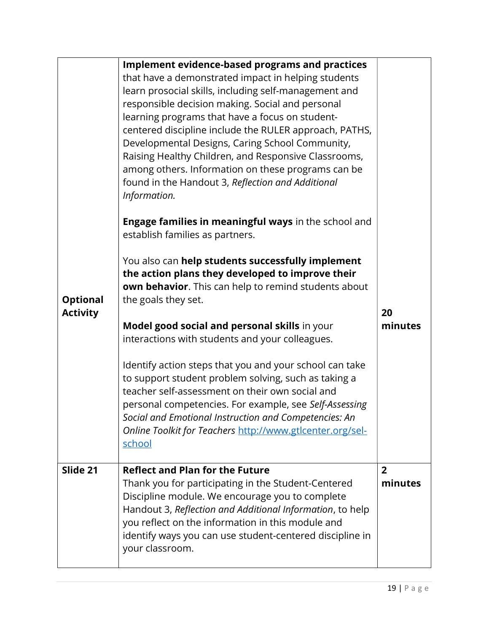| <b>Optional</b><br><b>Activity</b> | <b>Implement evidence-based programs and practices</b><br>that have a demonstrated impact in helping students<br>learn prosocial skills, including self-management and<br>responsible decision making. Social and personal<br>learning programs that have a focus on student-<br>centered discipline include the RULER approach, PATHS,<br>Developmental Designs, Caring School Community,<br>Raising Healthy Children, and Responsive Classrooms,<br>among others. Information on these programs can be<br>found in the Handout 3, Reflection and Additional<br>Information.<br>Engage families in meaningful ways in the school and<br>establish families as partners.<br>You also can help students successfully implement<br>the action plans they developed to improve their<br>own behavior. This can help to remind students about<br>the goals they set.<br>Model good social and personal skills in your<br>interactions with students and your colleagues.<br>Identify action steps that you and your school can take<br>to support student problem solving, such as taking a<br>teacher self-assessment on their own social and<br>personal competencies. For example, see Self-Assessing<br>Social and Emotional Instruction and Competencies: An<br>Online Toolkit for Teachers http://www.gtlcenter.org/sel-<br>school | 20<br>minutes             |
|------------------------------------|--------------------------------------------------------------------------------------------------------------------------------------------------------------------------------------------------------------------------------------------------------------------------------------------------------------------------------------------------------------------------------------------------------------------------------------------------------------------------------------------------------------------------------------------------------------------------------------------------------------------------------------------------------------------------------------------------------------------------------------------------------------------------------------------------------------------------------------------------------------------------------------------------------------------------------------------------------------------------------------------------------------------------------------------------------------------------------------------------------------------------------------------------------------------------------------------------------------------------------------------------------------------------------------------------------------------------------------|---------------------------|
| Slide 21                           | <b>Reflect and Plan for the Future</b><br>Thank you for participating in the Student-Centered<br>Discipline module. We encourage you to complete<br>Handout 3, Reflection and Additional Information, to help<br>you reflect on the information in this module and<br>identify ways you can use student-centered discipline in<br>your classroom.                                                                                                                                                                                                                                                                                                                                                                                                                                                                                                                                                                                                                                                                                                                                                                                                                                                                                                                                                                                    | $\overline{2}$<br>minutes |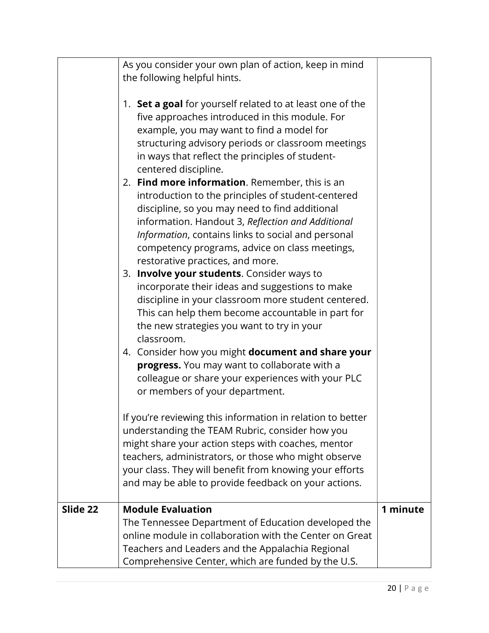|          | As you consider your own plan of action, keep in mind<br>the following helpful hints.                                                                                                                                                                                                                                                                   |          |
|----------|---------------------------------------------------------------------------------------------------------------------------------------------------------------------------------------------------------------------------------------------------------------------------------------------------------------------------------------------------------|----------|
|          | 1. Set a goal for yourself related to at least one of the<br>five approaches introduced in this module. For<br>example, you may want to find a model for<br>structuring advisory periods or classroom meetings<br>in ways that reflect the principles of student-<br>centered discipline.                                                               |          |
|          | 2. Find more information. Remember, this is an<br>introduction to the principles of student-centered<br>discipline, so you may need to find additional<br>information. Handout 3, Reflection and Additional<br>Information, contains links to social and personal<br>competency programs, advice on class meetings,<br>restorative practices, and more. |          |
|          | 3. Involve your students. Consider ways to<br>incorporate their ideas and suggestions to make<br>discipline in your classroom more student centered.<br>This can help them become accountable in part for<br>the new strategies you want to try in your<br>classroom.                                                                                   |          |
|          | 4. Consider how you might document and share your<br>progress. You may want to collaborate with a<br>colleague or share your experiences with your PLC<br>or members of your department.                                                                                                                                                                |          |
|          | If you're reviewing this information in relation to better<br>understanding the TEAM Rubric, consider how you<br>might share your action steps with coaches, mentor<br>teachers, administrators, or those who might observe<br>your class. They will benefit from knowing your efforts<br>and may be able to provide feedback on your actions.          |          |
| Slide 22 | <b>Module Evaluation</b>                                                                                                                                                                                                                                                                                                                                | 1 minute |
|          | The Tennessee Department of Education developed the                                                                                                                                                                                                                                                                                                     |          |
|          | online module in collaboration with the Center on Great                                                                                                                                                                                                                                                                                                 |          |
|          | Teachers and Leaders and the Appalachia Regional                                                                                                                                                                                                                                                                                                        |          |
|          | Comprehensive Center, which are funded by the U.S.                                                                                                                                                                                                                                                                                                      |          |